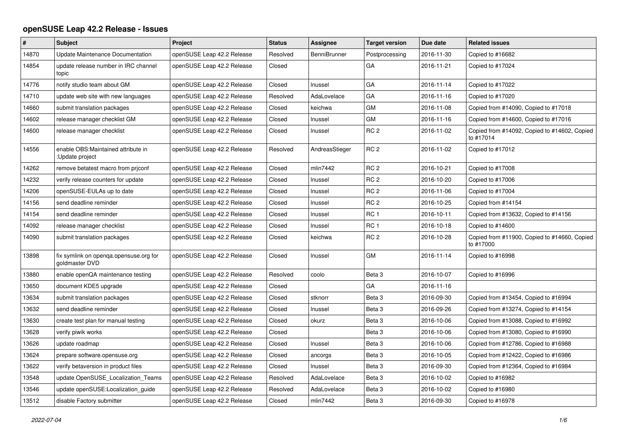## **openSUSE Leap 42.2 Release - Issues**

| #     | Subject                                                  | Project                    | <b>Status</b> | <b>Assignee</b> | <b>Target version</b> | Due date   | <b>Related issues</b>                                     |
|-------|----------------------------------------------------------|----------------------------|---------------|-----------------|-----------------------|------------|-----------------------------------------------------------|
| 14870 | Update Maintenance Documentation                         | openSUSE Leap 42.2 Release | Resolved      | BenniBrunner    | Postprocessing        | 2016-11-30 | Copied to #16682                                          |
| 14854 | update release number in IRC channel<br>topic            | openSUSE Leap 42.2 Release | Closed        |                 | GA                    | 2016-11-21 | Copied to #17024                                          |
| 14776 | notify studio team about GM                              | openSUSE Leap 42.2 Release | Closed        | Inussel         | GA                    | 2016-11-14 | Copied to #17022                                          |
| 14710 | update web site with new languages                       | openSUSE Leap 42.2 Release | Resolved      | AdaLovelace     | GA                    | 2016-11-16 | Copied to #17020                                          |
| 14660 | submit translation packages                              | openSUSE Leap 42.2 Release | Closed        | keichwa         | GM                    | 2016-11-08 | Copied from #14090, Copied to #17018                      |
| 14602 | release manager checklist GM                             | openSUSE Leap 42.2 Release | Closed        | Inussel         | GM                    | 2016-11-16 | Copied from #14600, Copied to #17016                      |
| 14600 | release manager checklist                                | openSUSE Leap 42.2 Release | Closed        | Inussel         | RC <sub>2</sub>       | 2016-11-02 | Copied from #14092, Copied to #14602, Copied<br>to #17014 |
| 14556 | enable OBS: Maintained attribute in<br>:Update project   | openSUSE Leap 42.2 Release | Resolved      | AndreasStieger  | RC <sub>2</sub>       | 2016-11-02 | Copied to #17012                                          |
| 14262 | remove betatest macro from priconf                       | openSUSE Leap 42.2 Release | Closed        | mlin7442        | RC <sub>2</sub>       | 2016-10-21 | Copied to #17008                                          |
| 14232 | verify release counters for update                       | openSUSE Leap 42.2 Release | Closed        | Inussel         | RC <sub>2</sub>       | 2016-10-20 | Copied to #17006                                          |
| 14206 | openSUSE-EULAs up to date                                | openSUSE Leap 42.2 Release | Closed        | Inussel         | RC <sub>2</sub>       | 2016-11-06 | Copied to #17004                                          |
| 14156 | send deadline reminder                                   | openSUSE Leap 42.2 Release | Closed        | Inussel         | RC <sub>2</sub>       | 2016-10-25 | Copied from #14154                                        |
| 14154 | send deadline reminder                                   | openSUSE Leap 42.2 Release | Closed        | Inussel         | RC <sub>1</sub>       | 2016-10-11 | Copied from #13632, Copied to #14156                      |
| 14092 | release manager checklist                                | openSUSE Leap 42.2 Release | Closed        | Inussel         | RC <sub>1</sub>       | 2016-10-18 | Copied to #14600                                          |
| 14090 | submit translation packages                              | openSUSE Leap 42.2 Release | Closed        | keichwa         | RC <sub>2</sub>       | 2016-10-28 | Copied from #11900, Copied to #14660, Copied<br>to #17000 |
| 13898 | fix symlink on openga.opensuse.org for<br>goldmaster DVD | openSUSE Leap 42.2 Release | Closed        | Inussel         | GM                    | 2016-11-14 | Copied to #16998                                          |
| 13880 | enable openQA maintenance testing                        | openSUSE Leap 42.2 Release | Resolved      | coolo           | Beta 3                | 2016-10-07 | Copied to #16996                                          |
| 13650 | document KDE5 upgrade                                    | openSUSE Leap 42.2 Release | Closed        |                 | GA                    | 2016-11-16 |                                                           |
| 13634 | submit translation packages                              | openSUSE Leap 42.2 Release | Closed        | stknorr         | Beta 3                | 2016-09-30 | Copied from #13454, Copied to #16994                      |
| 13632 | send deadline reminder                                   | openSUSE Leap 42.2 Release | Closed        | Inussel         | Beta <sub>3</sub>     | 2016-09-26 | Copied from #13274, Copied to #14154                      |
| 13630 | create test plan for manual testing                      | openSUSE Leap 42.2 Release | Closed        | okurz           | Beta 3                | 2016-10-06 | Copied from #13088, Copied to #16992                      |
| 13628 | verify piwik works                                       | openSUSE Leap 42.2 Release | Closed        |                 | Beta <sub>3</sub>     | 2016-10-06 | Copied from #13080, Copied to #16990                      |
| 13626 | update roadmap                                           | openSUSE Leap 42.2 Release | Closed        | Inussel         | Beta 3                | 2016-10-06 | Copied from #12786, Copied to #16988                      |
| 13624 | prepare software.opensuse.org                            | openSUSE Leap 42.2 Release | Closed        | ancorgs         | Beta <sub>3</sub>     | 2016-10-05 | Copied from #12422, Copied to #16986                      |
| 13622 | verify betaversion in product files                      | openSUSE Leap 42.2 Release | Closed        | Inussel         | Beta <sub>3</sub>     | 2016-09-30 | Copied from #12364, Copied to #16984                      |
| 13548 | update OpenSUSE Localization Teams                       | openSUSE Leap 42.2 Release | Resolved      | AdaLovelace     | Beta <sub>3</sub>     | 2016-10-02 | Copied to #16982                                          |
| 13546 | update openSUSE:Localization guide                       | openSUSE Leap 42.2 Release | Resolved      | AdaLovelace     | Beta 3                | 2016-10-02 | Copied to #16980                                          |
| 13512 | disable Factory submitter                                | openSUSE Leap 42.2 Release | Closed        | mlin7442        | Beta 3                | 2016-09-30 | Copied to #16978                                          |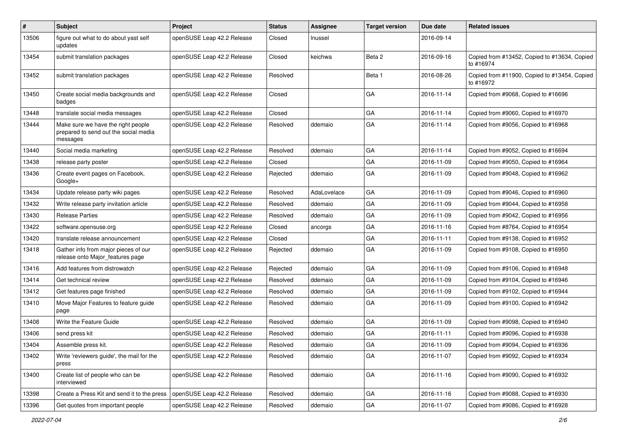| #     | <b>Subject</b>                                                                          | Project                    | <b>Status</b> | Assignee    | <b>Target version</b> | Due date   | <b>Related issues</b>                                     |
|-------|-----------------------------------------------------------------------------------------|----------------------------|---------------|-------------|-----------------------|------------|-----------------------------------------------------------|
| 13506 | figure out what to do about yast self<br>updates                                        | openSUSE Leap 42.2 Release | Closed        | Inussel     |                       | 2016-09-14 |                                                           |
| 13454 | submit translation packages                                                             | openSUSE Leap 42.2 Release | Closed        | keichwa     | Beta 2                | 2016-09-16 | Copied from #13452, Copied to #13634, Copied<br>to #16974 |
| 13452 | submit translation packages                                                             | openSUSE Leap 42.2 Release | Resolved      |             | Beta 1                | 2016-08-26 | Copied from #11900, Copied to #13454, Copied<br>to #16972 |
| 13450 | Create social media backgrounds and<br>badges                                           | openSUSE Leap 42.2 Release | Closed        |             | GA                    | 2016-11-14 | Copied from #9068, Copied to #16696                       |
| 13448 | translate social media messages                                                         | openSUSE Leap 42.2 Release | Closed        |             | GA                    | 2016-11-14 | Copied from #9060, Copied to #16970                       |
| 13444 | Make sure we have the right people<br>prepared to send out the social media<br>messages | openSUSE Leap 42.2 Release | Resolved      | ddemaio     | GA                    | 2016-11-14 | Copied from #9056, Copied to #16968                       |
| 13440 | Social media marketing                                                                  | openSUSE Leap 42.2 Release | Resolved      | ddemaio     | GA                    | 2016-11-14 | Copied from #9052, Copied to #16694                       |
| 13438 | release party poster                                                                    | openSUSE Leap 42.2 Release | Closed        |             | GA                    | 2016-11-09 | Copied from #9050, Copied to #16964                       |
| 13436 | Create event pages on Facebook,<br>Google+                                              | openSUSE Leap 42.2 Release | Rejected      | ddemaio     | GA                    | 2016-11-09 | Copied from #9048, Copied to #16962                       |
| 13434 | Update release party wiki pages                                                         | openSUSE Leap 42.2 Release | Resolved      | AdaLovelace | GA                    | 2016-11-09 | Copied from #9046, Copied to #16960                       |
| 13432 | Write release party invitation article                                                  | openSUSE Leap 42.2 Release | Resolved      | ddemaio     | GA                    | 2016-11-09 | Copied from #9044, Copied to #16958                       |
| 13430 | <b>Release Parties</b>                                                                  | openSUSE Leap 42.2 Release | Resolved      | ddemaio     | GA                    | 2016-11-09 | Copied from #9042, Copied to #16956                       |
| 13422 | software.opensuse.org                                                                   | openSUSE Leap 42.2 Release | Closed        | ancorgs     | GA                    | 2016-11-16 | Copied from #8764, Copied to #16954                       |
| 13420 | translate release announcement                                                          | openSUSE Leap 42.2 Release | Closed        |             | GA                    | 2016-11-11 | Copied from #9138, Copied to #16952                       |
| 13418 | Gather info from major pieces of our<br>release onto Major_features page                | openSUSE Leap 42.2 Release | Rejected      | ddemaio     | GA                    | 2016-11-09 | Copied from #9108, Copied to #16950                       |
| 13416 | Add features from distrowatch                                                           | openSUSE Leap 42.2 Release | Rejected      | ddemaio     | GA                    | 2016-11-09 | Copied from #9106, Copied to #16948                       |
| 13414 | Get technical review                                                                    | openSUSE Leap 42.2 Release | Resolved      | ddemaio     | GA                    | 2016-11-09 | Copied from #9104, Copied to #16946                       |
| 13412 | Get features page finished                                                              | openSUSE Leap 42.2 Release | Resolved      | ddemaio     | GA                    | 2016-11-09 | Copied from #9102, Copied to #16944                       |
| 13410 | Move Major Features to feature guide<br>page                                            | openSUSE Leap 42.2 Release | Resolved      | ddemaio     | GA                    | 2016-11-09 | Copied from #9100, Copied to #16942                       |
| 13408 | Write the Feature Guide                                                                 | openSUSE Leap 42.2 Release | Resolved      | ddemaio     | GA                    | 2016-11-09 | Copied from #9098, Copied to #16940                       |
| 13406 | send press kit                                                                          | openSUSE Leap 42.2 Release | Resolved      | ddemaio     | GA                    | 2016-11-11 | Copied from #9096, Copied to #16938                       |
| 13404 | Assemble press kit.                                                                     | openSUSE Leap 42.2 Release | Resolved      | ddemaio     | GA                    | 2016-11-09 | Copied from #9094, Copied to #16936                       |
| 13402 | Write 'reviewers guide', the mail for the<br>press                                      | openSUSE Leap 42.2 Release | Resolved      | ddemaio     | GA                    | 2016-11-07 | Copied from #9092, Copied to #16934                       |
| 13400 | Create list of people who can be<br>interviewed                                         | openSUSE Leap 42.2 Release | Resolved      | ddemaio     | GA                    | 2016-11-16 | Copied from #9090, Copied to #16932                       |
| 13398 | Create a Press Kit and send it to the press                                             | openSUSE Leap 42.2 Release | Resolved      | ddemaio     | GA                    | 2016-11-16 | Copied from #9088, Copied to #16930                       |
| 13396 | Get quotes from important people                                                        | openSUSE Leap 42.2 Release | Resolved      | ddemaio     | GA                    | 2016-11-07 | Copied from #9086, Copied to #16928                       |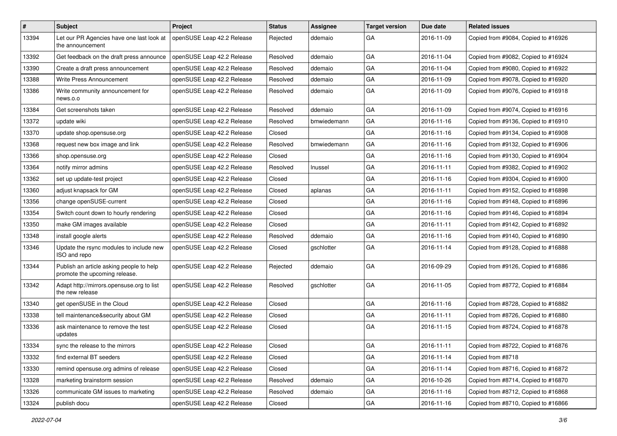| $\sharp$ | <b>Subject</b>                                                            | Project                    | <b>Status</b> | Assignee    | <b>Target version</b> | Due date   | <b>Related issues</b>               |
|----------|---------------------------------------------------------------------------|----------------------------|---------------|-------------|-----------------------|------------|-------------------------------------|
| 13394    | Let our PR Agencies have one last look at<br>the announcement             | openSUSE Leap 42.2 Release | Rejected      | ddemaio     | GA                    | 2016-11-09 | Copied from #9084, Copied to #16926 |
| 13392    | Get feedback on the draft press announce                                  | openSUSE Leap 42.2 Release | Resolved      | ddemaio     | GA                    | 2016-11-04 | Copied from #9082, Copied to #16924 |
| 13390    | Create a draft press announcement                                         | openSUSE Leap 42.2 Release | Resolved      | ddemaio     | GA                    | 2016-11-04 | Copied from #9080, Copied to #16922 |
| 13388    | <b>Write Press Announcement</b>                                           | openSUSE Leap 42.2 Release | Resolved      | ddemaio     | GA                    | 2016-11-09 | Copied from #9078, Copied to #16920 |
| 13386    | Write community announcement for<br>news.o.o                              | openSUSE Leap 42.2 Release | Resolved      | ddemaio     | GA                    | 2016-11-09 | Copied from #9076, Copied to #16918 |
| 13384    | Get screenshots taken                                                     | openSUSE Leap 42.2 Release | Resolved      | ddemaio     | GA                    | 2016-11-09 | Copied from #9074, Copied to #16916 |
| 13372    | update wiki                                                               | openSUSE Leap 42.2 Release | Resolved      | bmwiedemann | GA                    | 2016-11-16 | Copied from #9136, Copied to #16910 |
| 13370    | update shop.opensuse.org                                                  | openSUSE Leap 42.2 Release | Closed        |             | GA                    | 2016-11-16 | Copied from #9134, Copied to #16908 |
| 13368    | request new box image and link                                            | openSUSE Leap 42.2 Release | Resolved      | bmwiedemann | GA                    | 2016-11-16 | Copied from #9132, Copied to #16906 |
| 13366    | shop.opensuse.org                                                         | openSUSE Leap 42.2 Release | Closed        |             | GA                    | 2016-11-16 | Copied from #9130, Copied to #16904 |
| 13364    | notify mirror admins                                                      | openSUSE Leap 42.2 Release | Resolved      | Inussel     | GA                    | 2016-11-11 | Copied from #9382, Copied to #16902 |
| 13362    | set up update-test project                                                | openSUSE Leap 42.2 Release | Closed        |             | GA                    | 2016-11-16 | Copied from #9304, Copied to #16900 |
| 13360    | adjust knapsack for GM                                                    | openSUSE Leap 42.2 Release | Closed        | aplanas     | GA                    | 2016-11-11 | Copied from #9152, Copied to #16898 |
| 13356    | change openSUSE-current                                                   | openSUSE Leap 42.2 Release | Closed        |             | GA                    | 2016-11-16 | Copied from #9148, Copied to #16896 |
| 13354    | Switch count down to hourly rendering                                     | openSUSE Leap 42.2 Release | Closed        |             | GA                    | 2016-11-16 | Copied from #9146, Copied to #16894 |
| 13350    | make GM images available                                                  | openSUSE Leap 42.2 Release | Closed        |             | GA                    | 2016-11-11 | Copied from #9142, Copied to #16892 |
| 13348    | install google alerts                                                     | openSUSE Leap 42.2 Release | Resolved      | ddemaio     | GA                    | 2016-11-16 | Copied from #9140, Copied to #16890 |
| 13346    | Update the rsync modules to include new<br>ISO and repo                   | openSUSE Leap 42.2 Release | Closed        | gschlotter  | GA                    | 2016-11-14 | Copied from #9128, Copied to #16888 |
| 13344    | Publish an article asking people to help<br>promote the upcoming release. | openSUSE Leap 42.2 Release | Rejected      | ddemaio     | GA                    | 2016-09-29 | Copied from #9126, Copied to #16886 |
| 13342    | Adapt http://mirrors.opensuse.org to list<br>the new release              | openSUSE Leap 42.2 Release | Resolved      | gschlotter  | GA                    | 2016-11-05 | Copied from #8772, Copied to #16884 |
| 13340    | get openSUSE in the Cloud                                                 | openSUSE Leap 42.2 Release | Closed        |             | GA                    | 2016-11-16 | Copied from #8728, Copied to #16882 |
| 13338    | tell maintenance&security about GM                                        | openSUSE Leap 42.2 Release | Closed        |             | GA                    | 2016-11-11 | Copied from #8726, Copied to #16880 |
| 13336    | ask maintenance to remove the test<br>updates                             | openSUSE Leap 42.2 Release | Closed        |             | GA                    | 2016-11-15 | Copied from #8724, Copied to #16878 |
| 13334    | sync the release to the mirrors                                           | openSUSE Leap 42.2 Release | Closed        |             | GA                    | 2016-11-11 | Copied from #8722, Copied to #16876 |
| 13332    | find external BT seeders                                                  | openSUSE Leap 42.2 Release | Closed        |             | GA                    | 2016-11-14 | Copied from #8718                   |
| 13330    | remind opensuse.org admins of release                                     | openSUSE Leap 42.2 Release | Closed        |             | GA                    | 2016-11-14 | Copied from #8716, Copied to #16872 |
| 13328    | marketing brainstorm session                                              | openSUSE Leap 42.2 Release | Resolved      | ddemaio     | GA                    | 2016-10-26 | Copied from #8714, Copied to #16870 |
| 13326    | communicate GM issues to marketing                                        | openSUSE Leap 42.2 Release | Resolved      | ddemaio     | GA                    | 2016-11-16 | Copied from #8712, Copied to #16868 |
| 13324    | publish docu                                                              | openSUSE Leap 42.2 Release | Closed        |             | GA                    | 2016-11-16 | Copied from #8710, Copied to #16866 |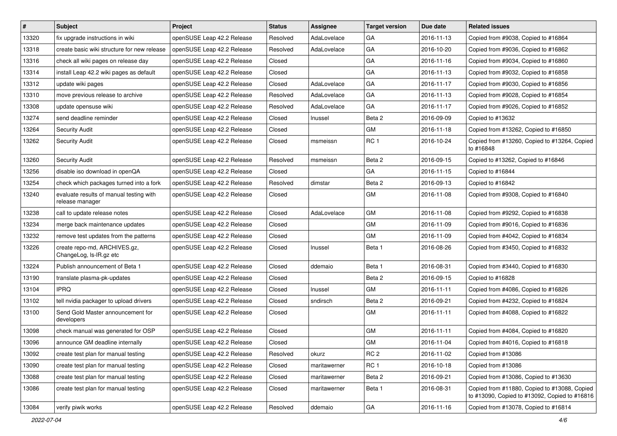| $\vert$ # | <b>Subject</b>                                             | Project                    | <b>Status</b> | Assignee     | <b>Target version</b> | Due date   | <b>Related issues</b>                                                                         |
|-----------|------------------------------------------------------------|----------------------------|---------------|--------------|-----------------------|------------|-----------------------------------------------------------------------------------------------|
| 13320     | fix upgrade instructions in wiki                           | openSUSE Leap 42.2 Release | Resolved      | AdaLovelace  | GA                    | 2016-11-13 | Copied from #9038, Copied to #16864                                                           |
| 13318     | create basic wiki structure for new release                | openSUSE Leap 42.2 Release | Resolved      | AdaLovelace  | GA                    | 2016-10-20 | Copied from #9036, Copied to #16862                                                           |
| 13316     | check all wiki pages on release day                        | openSUSE Leap 42.2 Release | Closed        |              | GA                    | 2016-11-16 | Copied from #9034, Copied to #16860                                                           |
| 13314     | install Leap 42.2 wiki pages as default                    | openSUSE Leap 42.2 Release | Closed        |              | GA                    | 2016-11-13 | Copied from #9032, Copied to #16858                                                           |
| 13312     | update wiki pages                                          | openSUSE Leap 42.2 Release | Closed        | AdaLovelace  | GA                    | 2016-11-17 | Copied from #9030, Copied to #16856                                                           |
| 13310     | move previous release to archive                           | openSUSE Leap 42.2 Release | Resolved      | AdaLovelace  | GA                    | 2016-11-13 | Copied from #9028, Copied to #16854                                                           |
| 13308     | update opensuse wiki                                       | openSUSE Leap 42.2 Release | Resolved      | AdaLovelace  | GA                    | 2016-11-17 | Copied from #9026, Copied to #16852                                                           |
| 13274     | send deadline reminder                                     | openSUSE Leap 42.2 Release | Closed        | Inussel      | Beta 2                | 2016-09-09 | Copied to #13632                                                                              |
| 13264     | <b>Security Audit</b>                                      | openSUSE Leap 42.2 Release | Closed        |              | GM                    | 2016-11-18 | Copied from #13262, Copied to #16850                                                          |
| 13262     | <b>Security Audit</b>                                      | openSUSE Leap 42.2 Release | Closed        | msmeissn     | RC <sub>1</sub>       | 2016-10-24 | Copied from #13260, Copied to #13264, Copied<br>to #16848                                     |
| 13260     | <b>Security Audit</b>                                      | openSUSE Leap 42.2 Release | Resolved      | msmeissn     | Beta 2                | 2016-09-15 | Copied to #13262, Copied to #16846                                                            |
| 13256     | disable iso download in openQA                             | openSUSE Leap 42.2 Release | Closed        |              | GA                    | 2016-11-15 | Copied to #16844                                                                              |
| 13254     | check which packages turned into a fork                    | openSUSE Leap 42.2 Release | Resolved      | dimstar      | Beta 2                | 2016-09-13 | Copied to #16842                                                                              |
| 13240     | evaluate results of manual testing with<br>release manager | openSUSE Leap 42.2 Release | Closed        |              | <b>GM</b>             | 2016-11-08 | Copied from #9308, Copied to #16840                                                           |
| 13238     | call to update release notes                               | openSUSE Leap 42.2 Release | Closed        | AdaLovelace  | <b>GM</b>             | 2016-11-08 | Copied from #9292, Copied to #16838                                                           |
| 13234     | merge back maintenance updates                             | openSUSE Leap 42.2 Release | Closed        |              | GM                    | 2016-11-09 | Copied from #9016, Copied to #16836                                                           |
| 13232     | remove test updates from the patterns                      | openSUSE Leap 42.2 Release | Closed        |              | <b>GM</b>             | 2016-11-09 | Copied from #4042, Copied to #16834                                                           |
| 13226     | create repo-md, ARCHIVES.gz,<br>ChangeLog, Is-IR.gz etc    | openSUSE Leap 42.2 Release | Closed        | Inussel      | Beta 1                | 2016-08-26 | Copied from #3450, Copied to #16832                                                           |
| 13224     | Publish announcement of Beta 1                             | openSUSE Leap 42.2 Release | Closed        | ddemaio      | Beta 1                | 2016-08-31 | Copied from #3440, Copied to #16830                                                           |
| 13190     | translate plasma-pk-updates                                | openSUSE Leap 42.2 Release | Closed        |              | Beta 2                | 2016-09-15 | Copied to #16828                                                                              |
| 13104     | <b>IPRQ</b>                                                | openSUSE Leap 42.2 Release | Closed        | Inussel      | <b>GM</b>             | 2016-11-11 | Copied from #4086, Copied to #16826                                                           |
| 13102     | tell nvidia packager to upload drivers                     | openSUSE Leap 42.2 Release | Closed        | sndirsch     | Beta 2                | 2016-09-21 | Copied from #4232, Copied to #16824                                                           |
| 13100     | Send Gold Master announcement for<br>developers            | openSUSE Leap 42.2 Release | Closed        |              | GM                    | 2016-11-11 | Copied from #4088, Copied to #16822                                                           |
| 13098     | check manual was generated for OSP                         | openSUSE Leap 42.2 Release | Closed        |              | GM                    | 2016-11-11 | Copied from #4084, Copied to #16820                                                           |
| 13096     | announce GM deadline internally                            | openSUSE Leap 42.2 Release | Closed        |              | <b>GM</b>             | 2016-11-04 | Copied from #4016, Copied to #16818                                                           |
| 13092     | create test plan for manual testing                        | openSUSE Leap 42.2 Release | Resolved      | okurz        | RC <sub>2</sub>       | 2016-11-02 | Copied from #13086                                                                            |
| 13090     | create test plan for manual testing                        | openSUSE Leap 42.2 Release | Closed        | maritawerner | RC <sub>1</sub>       | 2016-10-18 | Copied from #13086                                                                            |
| 13088     | create test plan for manual testing                        | openSUSE Leap 42.2 Release | Closed        | maritawerner | Beta 2                | 2016-09-21 | Copied from #13086, Copied to #13630                                                          |
| 13086     | create test plan for manual testing                        | openSUSE Leap 42.2 Release | Closed        | maritawerner | Beta 1                | 2016-08-31 | Copied from #11880, Copied to #13088, Copied<br>to #13090, Copied to #13092, Copied to #16816 |
| 13084     | verify piwik works                                         | openSUSE Leap 42.2 Release | Resolved      | ddemaio      | GA                    | 2016-11-16 | Copied from #13078, Copied to #16814                                                          |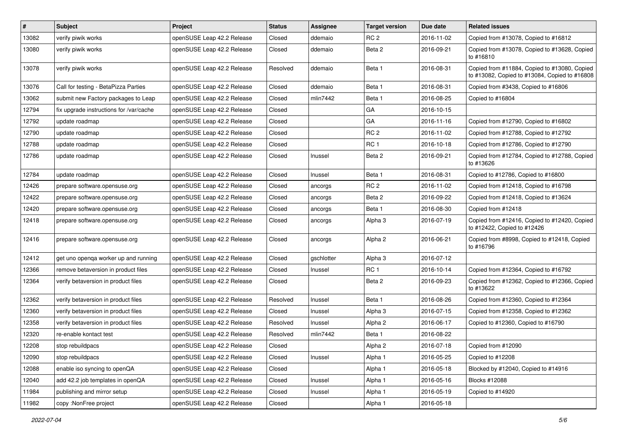| $\vert$ # | Subject                                 | <b>Project</b>             | <b>Status</b> | Assignee   | <b>Target version</b> | Due date   | <b>Related issues</b>                                                                         |
|-----------|-----------------------------------------|----------------------------|---------------|------------|-----------------------|------------|-----------------------------------------------------------------------------------------------|
| 13082     | verify piwik works                      | openSUSE Leap 42.2 Release | Closed        | ddemaio    | RC <sub>2</sub>       | 2016-11-02 | Copied from #13078, Copied to #16812                                                          |
| 13080     | verify piwik works                      | openSUSE Leap 42.2 Release | Closed        | ddemaio    | Beta 2                | 2016-09-21 | Copied from #13078, Copied to #13628, Copied<br>to #16810                                     |
| 13078     | verify piwik works                      | openSUSE Leap 42.2 Release | Resolved      | ddemaio    | Beta 1                | 2016-08-31 | Copied from #11884, Copied to #13080, Copied<br>to #13082, Copied to #13084, Copied to #16808 |
| 13076     | Call for testing - BetaPizza Parties    | openSUSE Leap 42.2 Release | Closed        | ddemaio    | Beta 1                | 2016-08-31 | Copied from #3438, Copied to #16806                                                           |
| 13062     | submit new Factory packages to Leap     | openSUSE Leap 42.2 Release | Closed        | mlin7442   | Beta 1                | 2016-08-25 | Copied to #16804                                                                              |
| 12794     | fix upgrade instructions for /var/cache | openSUSE Leap 42.2 Release | Closed        |            | GA                    | 2016-10-15 |                                                                                               |
| 12792     | update roadmap                          | openSUSE Leap 42.2 Release | Closed        |            | GA                    | 2016-11-16 | Copied from #12790, Copied to #16802                                                          |
| 12790     | update roadmap                          | openSUSE Leap 42.2 Release | Closed        |            | RC <sub>2</sub>       | 2016-11-02 | Copied from #12788, Copied to #12792                                                          |
| 12788     | update roadmap                          | openSUSE Leap 42.2 Release | Closed        |            | RC <sub>1</sub>       | 2016-10-18 | Copied from #12786, Copied to #12790                                                          |
| 12786     | update roadmap                          | openSUSE Leap 42.2 Release | Closed        | Inussel    | Beta 2                | 2016-09-21 | Copied from #12784, Copied to #12788, Copied<br>to #13626                                     |
| 12784     | update roadmap                          | openSUSE Leap 42.2 Release | Closed        | Inussel    | Beta 1                | 2016-08-31 | Copied to #12786, Copied to #16800                                                            |
| 12426     | prepare software.opensuse.org           | openSUSE Leap 42.2 Release | Closed        | ancorgs    | RC <sub>2</sub>       | 2016-11-02 | Copied from #12418, Copied to #16798                                                          |
| 12422     | prepare software.opensuse.org           | openSUSE Leap 42.2 Release | Closed        | ancorgs    | Beta 2                | 2016-09-22 | Copied from #12418, Copied to #13624                                                          |
| 12420     | prepare software.opensuse.org           | openSUSE Leap 42.2 Release | Closed        | ancorgs    | Beta 1                | 2016-08-30 | Copied from #12418                                                                            |
| 12418     | prepare software.opensuse.org           | openSUSE Leap 42.2 Release | Closed        | ancorgs    | Alpha 3               | 2016-07-19 | Copied from #12416, Copied to #12420, Copied<br>to #12422, Copied to #12426                   |
| 12416     | prepare software.opensuse.org           | openSUSE Leap 42.2 Release | Closed        | ancorgs    | Alpha <sub>2</sub>    | 2016-06-21 | Copied from #8998, Copied to #12418, Copied<br>to #16796                                      |
| 12412     | get uno openga worker up and running    | openSUSE Leap 42.2 Release | Closed        | gschlotter | Alpha 3               | 2016-07-12 |                                                                                               |
| 12366     | remove betaversion in product files     | openSUSE Leap 42.2 Release | Closed        | Inussel    | <b>RC1</b>            | 2016-10-14 | Copied from #12364, Copied to #16792                                                          |
| 12364     | verify betaversion in product files     | openSUSE Leap 42.2 Release | Closed        |            | Beta 2                | 2016-09-23 | Copied from #12362, Copied to #12366, Copied<br>to #13622                                     |
| 12362     | verify betaversion in product files     | openSUSE Leap 42.2 Release | Resolved      | Inussel    | Beta 1                | 2016-08-26 | Copied from #12360, Copied to #12364                                                          |
| 12360     | verify betaversion in product files     | openSUSE Leap 42.2 Release | Closed        | Inussel    | Alpha 3               | 2016-07-15 | Copied from #12358, Copied to #12362                                                          |
| 12358     | verify betaversion in product files     | openSUSE Leap 42.2 Release | Resolved      | Inussel    | Alpha 2               | 2016-06-17 | Copied to #12360, Copied to #16790                                                            |
| 12320     | re-enable kontact test                  | openSUSE Leap 42.2 Release | Resolved      | mlin7442   | Beta 1                | 2016-08-22 |                                                                                               |
| 12208     | stop rebuildpacs                        | openSUSE Leap 42.2 Release | Closed        |            | Alpha <sub>2</sub>    | 2016-07-18 | Copied from #12090                                                                            |
| 12090     | stop rebuildpacs                        | openSUSE Leap 42.2 Release | Closed        | Inussel    | Alpha 1               | 2016-05-25 | Copied to #12208                                                                              |
| 12088     | enable iso syncing to openQA            | openSUSE Leap 42.2 Release | Closed        |            | Alpha 1               | 2016-05-18 | Blocked by #12040, Copied to #14916                                                           |
| 12040     | add 42.2 job templates in openQA        | openSUSE Leap 42.2 Release | Closed        | Inussel    | Alpha 1               | 2016-05-16 | Blocks #12088                                                                                 |
| 11984     | publishing and mirror setup             | openSUSE Leap 42.2 Release | Closed        | Inussel    | Alpha 1               | 2016-05-19 | Copied to #14920                                                                              |
| 11982     | copy: NonFree project                   | openSUSE Leap 42.2 Release | Closed        |            | Alpha 1               | 2016-05-18 |                                                                                               |